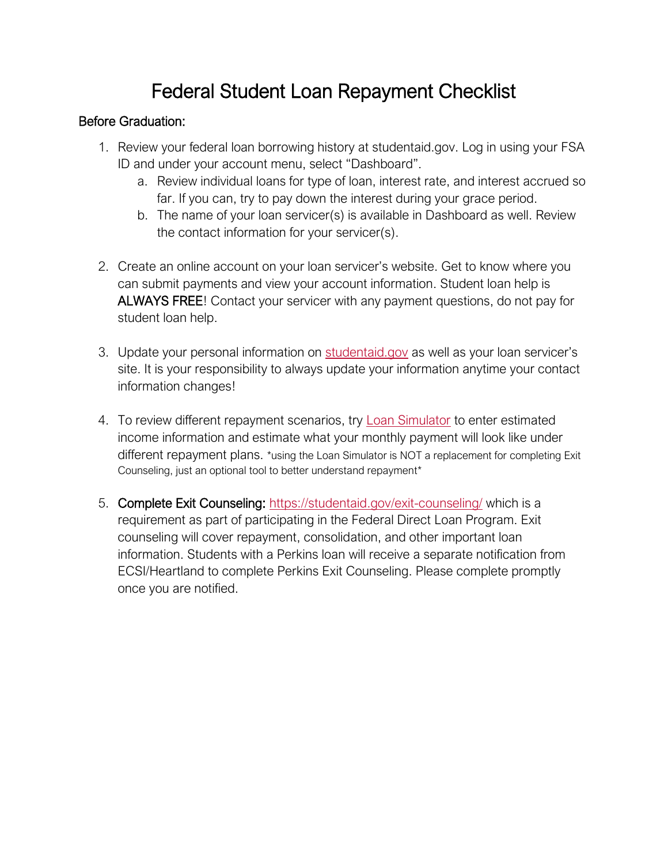# Federal Student Loan Repayment Checklist

#### Before Graduation:

- 1. Review your federal loan borrowing history at studentaid.gov. Log in using your FSA ID and under your account menu, select "Dashboard".
	- a. Review individual loans for type of loan, interest rate, and interest accrued so far. If you can, try to pay down the interest during your grace period.
	- b. The name of your loan servicer(s) is available in Dashboard as well. Review the contact information for your servicer(s).
- 2. Create an online account on your loan servicer's website. Get to know where you can submit payments and view your account information. Student loan help is ALWAYS FREE! Contact your servicer with any payment questions, do not pay for student loan help.
- 3. Update your personal information on [studentaid.gov](https://studentaid.gov/fsa-id/sign-in/landing) as well as your loan servicer's site. It is your responsibility to always update your information anytime your contact information changes!
- 4. To review different repayment scenarios, try [Loan Simulator](https://studentaid.gov/loan-simulator/) to enter estimated income information and estimate what your monthly payment will look like under different repayment plans. \*using the Loan Simulator is NOT a replacement for completing Exit Counseling, just an optional tool to better understand repayment\*
- 5. Complete Exit Counseling: <https://studentaid.gov/exit-counseling/> which is a requirement as part of participating in the Federal Direct Loan Program. Exit counseling will cover repayment, consolidation, and other important loan information. Students with a Perkins loan will receive a separate notification from ECSI/Heartland to complete Perkins Exit Counseling. Please complete promptly once you are notified.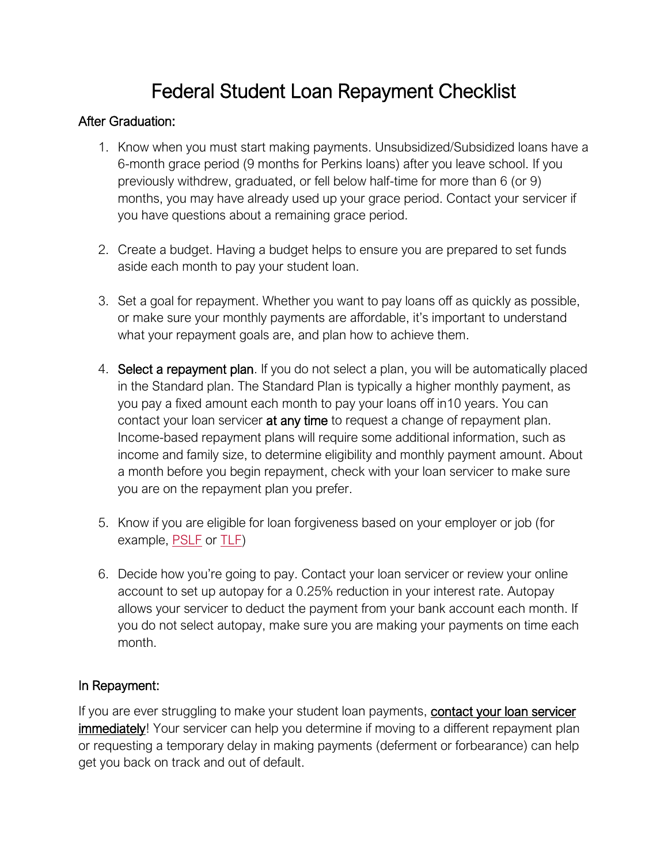# Federal Student Loan Repayment Checklist

#### After Graduation:

- 1. Know when you must start making payments. Unsubsidized/Subsidized loans have a 6-month grace period (9 months for Perkins loans) after you leave school. If you previously withdrew, graduated, or fell below half-time for more than 6 (or 9) months, you may have already used up your grace period. Contact your servicer if you have questions about a remaining grace period.
- 2. Create a budget. Having a budget helps to ensure you are prepared to set funds aside each month to pay your student loan.
- 3. Set a goal for repayment. Whether you want to pay loans off as quickly as possible, or make sure your monthly payments are affordable, it's important to understand what your repayment goals are, and plan how to achieve them.
- 4. Select a repayment plan. If you do not select a plan, you will be automatically placed in the Standard plan. The Standard Plan is typically a higher monthly payment, as you pay a fixed amount each month to pay your loans off in10 years. You can contact your loan servicer **at any time** to request a change of repayment plan. Income-based repayment plans will require some additional information, such as income and family size, to determine eligibility and monthly payment amount. About a month before you begin repayment, check with your loan servicer to make sure you are on the repayment plan you prefer.
- 5. Know if you are eligible for loan forgiveness based on your employer or job (for example, [PSLF](https://studentaid.gov/manage-loans/forgiveness-cancellation/public-service) or [TLF\)](https://studentaid.gov/manage-loans/forgiveness-cancellation/teacher)
- 6. Decide how you're going to pay. Contact your loan servicer or review your online account to set up autopay for a 0.25% reduction in your interest rate. Autopay allows your servicer to deduct the payment from your bank account each month. If you do not select autopay, make sure you are making your payments on time each month.

### In Repayment:

If you are ever struggling to make your student loan payments, contact your loan servicer **immediately!** Your servicer can help you determine if moving to a different repayment plan or requesting a temporary delay in making payments (deferment or forbearance) can help get you back on track and out of default.